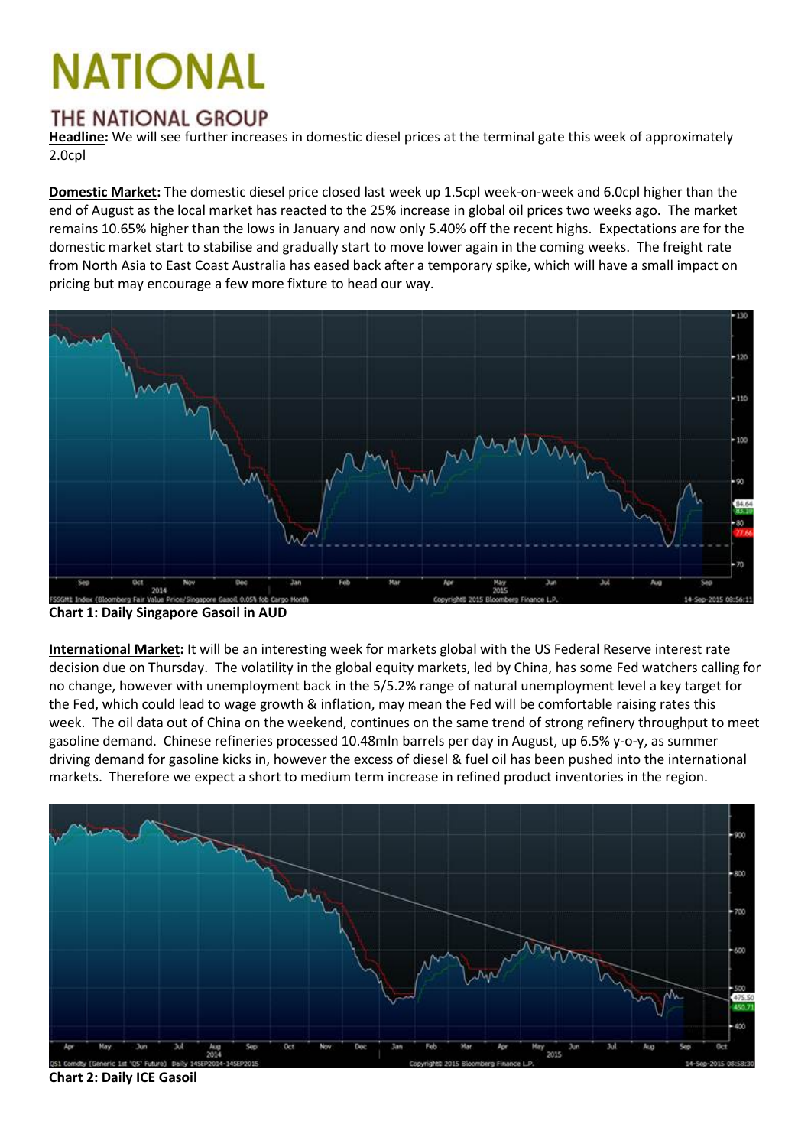## **NATIONAL**

## **THE NATIONAL GROUP**

**Headline:** We will see further increases in domestic diesel prices at the terminal gate this week of approximately 2.0cpl

**Domestic Market:** The domestic diesel price closed last week up 1.5cpl week-on-week and 6.0cpl higher than the end of August as the local market has reacted to the 25% increase in global oil prices two weeks ago. The market remains 10.65% higher than the lows in January and now only 5.40% off the recent highs. Expectations are for the domestic market start to stabilise and gradually start to move lower again in the coming weeks. The freight rate from North Asia to East Coast Australia has eased back after a temporary spike, which will have a small impact on pricing but may encourage a few more fixture to head our way.



**Chart 1: Daily Singapore Gasoil in AUD**

**International Market:** It will be an interesting week for markets global with the US Federal Reserve interest rate decision due on Thursday. The volatility in the global equity markets, led by China, has some Fed watchers calling for no change, however with unemployment back in the 5/5.2% range of natural unemployment level a key target for the Fed, which could lead to wage growth & inflation, may mean the Fed will be comfortable raising rates this week. The oil data out of China on the weekend, continues on the same trend of strong refinery throughput to meet gasoline demand. Chinese refineries processed 10.48mln barrels per day in August, up 6.5% y-o-y, as summer driving demand for gasoline kicks in, however the excess of diesel & fuel oil has been pushed into the international markets. Therefore we expect a short to medium term increase in refined product inventories in the region.



**Chart 2: Daily ICE Gasoil**